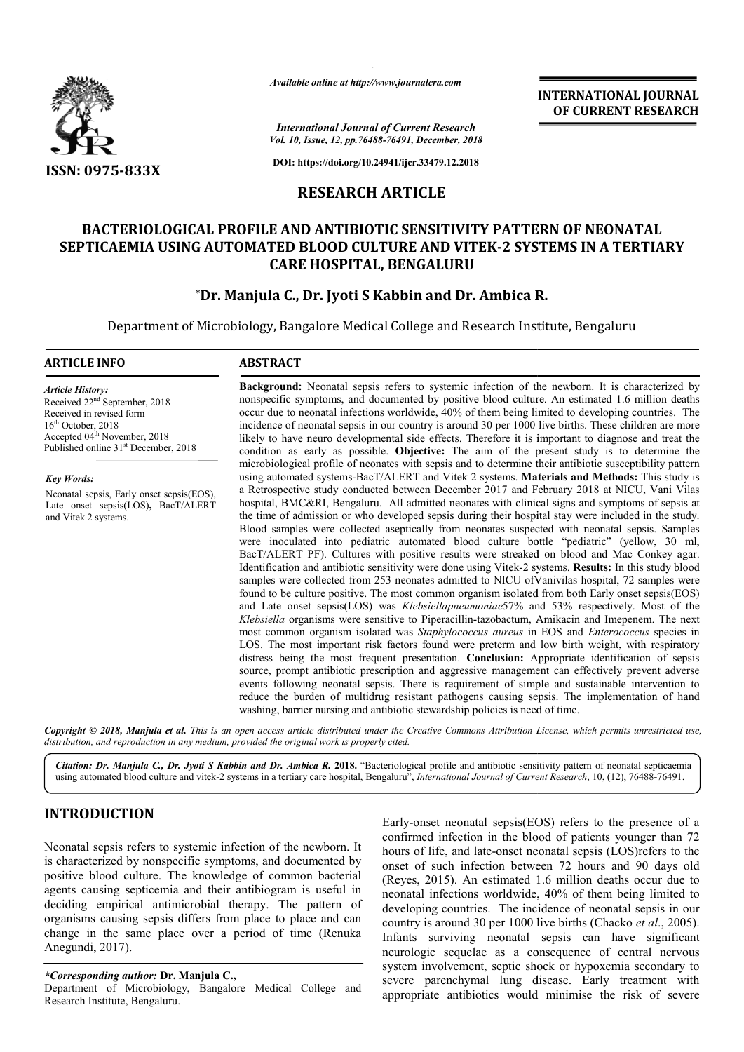

*Available online at http://www.journalcra.com*

*International Journal of Current Research Vol. 10, Issue, 12, pp.76488-76491, December, 2018*

**INTERNATIONAL JOURNAL OF CURRENT RESEARCH**

**DOI: https://doi.org/10.24941/ijcr.33479.12.2018**

# **RESEARCH ARTICLE**

# **BACTERIOLOGICAL PROFILE AND ANTIBIOTIC SENSITIVITY PATTERN OF NEONATAL**  SEPTICAEMIA USING AUTOMATED BLOOD CULTURE AND VITEK-2 SYSTEMS IN A TERTIARY **CARE HOSPITAL, BENGALURU**

# **\*Dr. Manjula C., Dr. Jyoti S Kabbin and Dr. Ambica R. Dr. Dr. Jyoti**

Department of Microbiology, Bangalore Medical College and Research Institute, Bengaluru

#### **ARTICLE INFO ABSTRACT**

*Article History:* Received 22nd September, 2018 Received in revised form  $16<sup>th</sup>$  October, 2018 Accepted 04<sup>th</sup> November, 2018 Published online 31<sup>st</sup> December, 2018

*Key Words:* Neonatal sepsis, Early onset sepsis(EOS), Late onset sepsis(LOS)**,** BacT/ALERT and Vitek 2 systems.

**Background:**  Neonatal sepsis refers to systemic infection of the newborn. It is characterized by nonspecific symptoms, and documented by positive blood culture. An estimated 1.6 million deaths Background: Neonatal sepsis refers to systemic infection of the newborn. It is characterized by nonspecific symptoms, and documented by positive blood culture. An estimated 1.6 million deaths occur due to neonatal infectio incidence of neonatal sepsis in our country is around 30 per 1000 live births. These children are more likely to have neuro developmental side effects. Therefore it is important to diagnose and treat the condition as early as possible. **Objective:** The aim of the present study is to determine the microbiological profile of neonates with sepsis and to determine their antibiotic susceptibility pattern using automated systems-BacT/ALERT and Vitek 2 systems. Materials and Methods: This study is a Retrospective study conducted between December 2017 and February 2018 at NICU, Vani Vilas hospital, BMC&RI, Bengaluru. All admitted neonates with clinical signs and symptoms of sepsis at the time of admission or who developed sepsis during their hospital stay were included in the study. Blood samples were collected aseptically from neonates suspected with neonatal sepsis. Samples were inoculated into pediatric automated blood culture bottle "pediatric" (yellow, 30 ml, BacT/ALERT PF). Cultures with positive results were streaked on blood and Mac Conkey agar. Identification and antibiotic sensitivity were done using Vitek-2 systems. Results: In this study blood samples were collected from 253 neonates admitted to NICU ofVanivilas hospital, 72 samples were found to be culture positive. The most common organism isolated from both Early onset sepsis(EOS) and Late onset sepsis(LOS) was *Klebsiellapneumoniae*57% and 53% respectively. Most of the Klebsiella organisms were sensitive to Piperacillin-tazobactum, Amikacin and Imepenem. The next most common organism isolated was *Staphylococcus aureus* in EOS and *Enterococcus* species in LOS. The most important risk factors found were preterm and low birth weight, with respiratory distress being the most frequent presentation. **Conclusion:** Appropriate identification of sepsis source, prompt antibiotic prescription and aggressive management can effectively prevent adverse events following neonatal sepsis. There is requirement of simple and sustainable intervention to reduce the burden of multidrug resistant pathogens causing sepsis. The implementation of hand washing, barrier nursing and antibiotic stewardship policies is need of time. tal, BMC&RI, Bengaluru. All admitted neonates with clinical sign<br>me of admission or who developed sepsis during their hospital stay<br>1 samples were collected aseptically from neonates suspected wit<br>inoculated into pediatric likely to have neuro developmental side effects. Therefore it is important to diagnose and to condition as early as possible. **Objective:** The aim of the present study is to determinicrobiological profile of neonates with a Retrospective study conducted between December 2017 and February 2018 at NICU, Vani Vilas hospital, BMC&RI, Bengaluru. All admitted neonates with clinical signs and symptoms of sepsis at the time of admission or who deve were inoculated into pediatric automated blood culture bottle "pediatric" (yellow, 30 ml, BacT/ALERT PF). Cultures with positive results were streaked on blood and Mac Conkey agar. Identification and antibiotic sensitivity samples were collected from 253 neonates admitted to NICU of Vanivilas hospital, 72 samples were found to be culture positive. The most common organism isolated from both Early onset sepsis(EOS) and Late onset sepsis(LOS) LOS. The most important risk factors found were preterm and low birth weight, with redistress being the most frequent presentation. **Conclusion:** Appropriate identification of source, prompt antibiotic prescription and agg

Copyright © 2018, Manjula et al. This is an open access article distributed under the Creative Commons Attribution License, which permits unrestricted use, *distribution, and reproduction in any medium, provided the original work is properly cited.*

Citation: Dr. Manjula C., Dr. Jyoti S Kabbin and Dr. Ambica R. 2018. "Bacteriological profile and antibiotic sensitivity pattern of neonatal septicaemia using automated blood culture and vitek-2 systems in a tertiary care hospital, 2 Bengaluru", *International Journal of Current Research*, 10, (12), 76488-76491.

# **INTRODUCTION**

Neonatal sepsis refers to systemic infection of the newborn. It is characterized by nonspecific symptoms, and documented by positive blood culture. The knowledge of common bacterial agents causing septicemia and their antibiogram is useful in deciding empirical antimicrobial therapy. The pattern of organisms causing sepsis differs from place to place and can change in the same place over a period of time (Renuka Anegundi, 2017).

#### *\*Corresponding author:* **Dr. Manjula C.,**

Department of Microbiology, Bangalore Medical College and Research Institute, Bengaluru.

Early-onset neonatal sepsis $(EOS)$  refers to the presence of a confirmed infection in the blood of patients younger than 72 hours of life, and late-onset neonatal sepsis (LOS)refers to the onset of such infection between 72 hours and 90 days old (Reyes, 2015). An estimated 1.6 million deaths occur due to neonatal infections worldwide, 40% of them being limited to (Reyes, 2015). An estimated 1.6 million deaths occur due to neonatal infections worldwide, 40% of them being limited to developing countries. The incidence of neonatal sepsis in our country is around 30 per 1000 live births (Chacko *et al.*, 2005). Infants surviving neonatal sepsis can have significant neurologic sequelae as a consequence of central nervous system involvement, septic shock or hypoxemia secondary to severe parenchymal lung disease. Early treatment with appropriate antibiotics would minimise the risk of severe neonatal sepsis can have significant<br>as a consequence of central nervous<br>septic shock or hypoxemia secondary to<br>l lung disease. Early treatment with<br>ics would minimise the risk of severe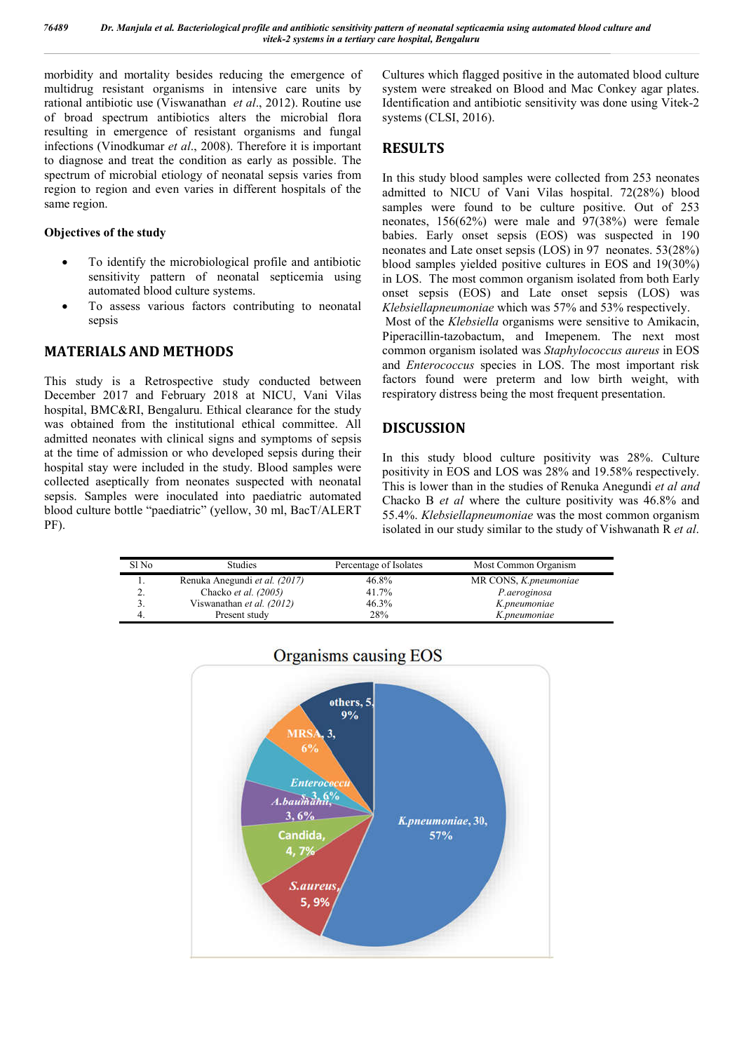morbidity and mortality besides reducing the emergence of multidrug resistant organisms in intensive care units by rational antibiotic use (Viswanathan *et al*., 2012). Routine use of broad spectrum antibiotics alters the microbial flora resulting in emergence of resistant organisms and fungal infections (Vinodkumar *et al*., 2008). Therefore it is important to diagnose and treat the condition as early as possible. The spectrum of microbial etiology of neonatal sepsis varies from region to region and even varies in different hospitals of the same region.

#### **Objectives of the study**

- To identify the microbiological profile and antibiotic sensitivity pattern of neonatal septicemia using automated blood culture systems.
- To assess various factors contributing to neonatal sepsis

# **MATERIALS AND METHODS**

This study is a Retrospective study conducted between December 2017 and February 2018 at NICU, Vani Vilas hospital, BMC&RI, Bengaluru. Ethical clearance for the study was obtained from the institutional ethical committee. All admitted neonates with clinical signs and symptoms of sepsis at the time of admission or who developed sepsis during their hospital stay were included in the study. Blood samples were collected aseptically from neonates suspected with neonatal sepsis. Samples were inoculated into paediatric automated blood culture bottle "paediatric" (yellow, 30 ml, BacT/ALERT PF).

Cultures which flagged positive in the automated blood culture system were streaked on Blood and Mac Conkey agar plates. Identification and antibiotic sensitivity was done using Vitek-2 systems (CLSI, 2016).

# **RESULTS**

In this study blood samples were collected from 253 neonates admitted to NICU of Vani Vilas hospital. 72(28%) blood samples were found to be culture positive. Out of 253 neonates, 156(62%) were male and 97(38%) were female babies. Early onset sepsis (EOS) was suspected in 190 neonates and Late onset sepsis (LOS) in 97 neonates. 53(28%) blood samples yielded positive cultures in EOS and 19(30%) in LOS. The most common organism isolated from both Early onset sepsis (EOS) and Late onset sepsis (LOS) was *Klebsiellapneumoniae* which was 57% and 53% respectively. Most of the *Klebsiella* organisms were sensitive to Amikacin, Piperacillin-tazobactum, and Imepenem. The next most common organism isolated was *Staphylococcus aureus* in EOS and *Enterococcus* species in LOS. The most important risk factors found were preterm and low birth weight, with respiratory distress being the most frequent presentation.

# **DISCUSSION**

In this study blood culture positivity was 28%. Culture positivity in EOS and LOS was 28% and 19.58% respectively. This is lower than in the studies of Renuka Anegundi *et al and*  Chacko B *et al* where the culture positivity was 46.8% and 55.4%. *Klebsiellapneumoniae* was the most common organism isolated in our study similar to the study of Vishwanath R *et al*.

| Sl No    | <b>Studies</b>                | Percentage of Isolates | Most Common Organism         |
|----------|-------------------------------|------------------------|------------------------------|
| .,       | Renuka Anegundi et al. (2017) | 46.8%                  | MR CONS, <i>K.pneumoniae</i> |
| <u>.</u> | Chacko <i>et al.</i> $(2005)$ | 41.7%                  | P.aeroginosa                 |
|          | Viswanathan et al. (2012)     | 46.3%                  | K.pneumoniae                 |
|          | Present study                 | 28%                    | K.pneumoniae                 |



# Organisms causing EOS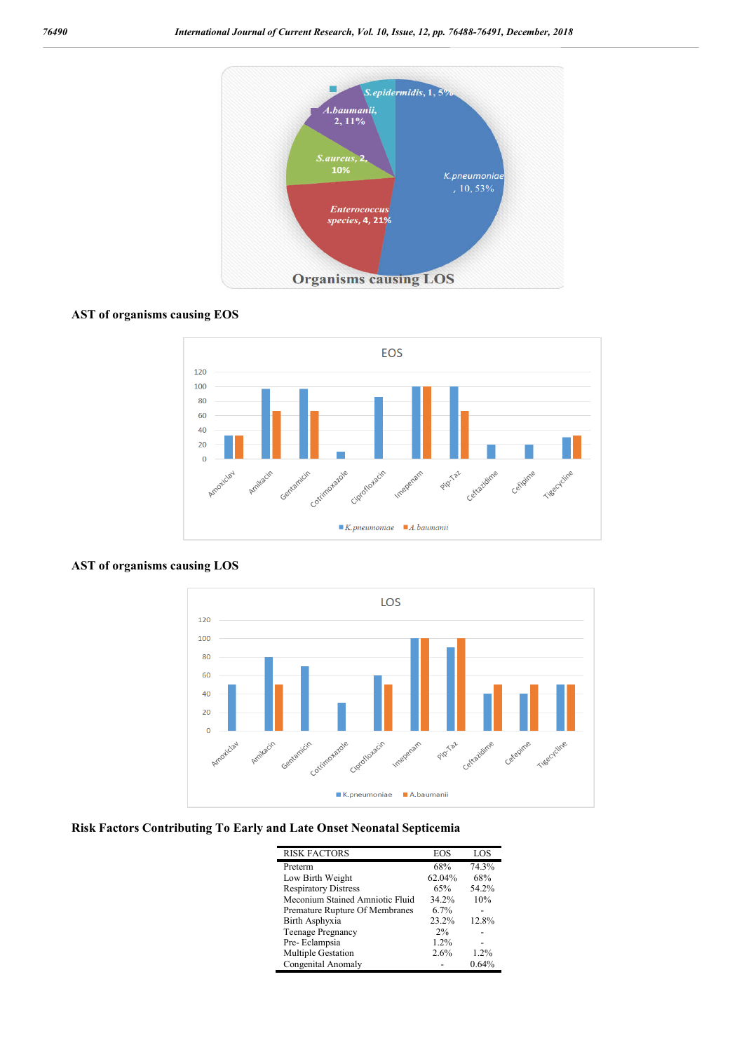

# **AST of organisms causing EOS**



## **AST of organisms causing LOS**



## **Risk Factors Contributing To Early and Late Onset Neonatal Septicemia**

| <b>RISK FACTORS</b>             | EOS    | LOS     |
|---------------------------------|--------|---------|
| Preterm                         | 68%    | 74.3%   |
| Low Birth Weight                | 62.04% | 68%     |
| <b>Respiratory Distress</b>     | 65%    | 54.2%   |
| Meconium Stained Amniotic Fluid | 34.2%  | 10%     |
| Premature Rupture Of Membranes  | 6.7%   |         |
| Birth Asphyxia                  | 23.2%  | 12.8%   |
| <b>Teenage Pregnancy</b>        | 2%     |         |
| Pre-Eclampsia                   | 1.2%   |         |
| Multiple Gestation              | 2.6%   | $1.2\%$ |
| Congenital Anomaly              |        | 0.64%   |